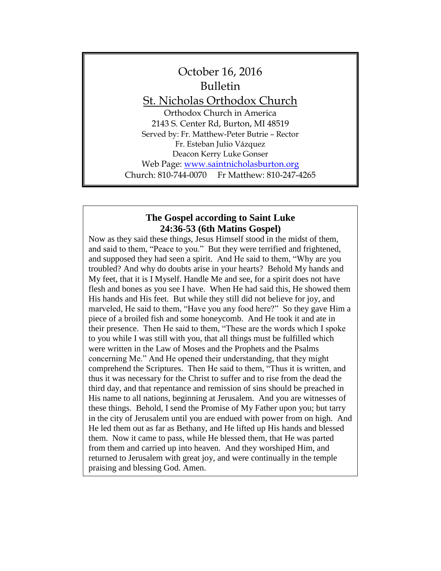

#### **The Gospel according to Saint Luke 24:36-53 (6th Matins Gospel)**

Now as they said these things, Jesus Himself stood in the midst of them, and said to them, "Peace to you." But they were terrified and frightened, and supposed they had seen a spirit. And He said to them, "Why are you troubled? And why do doubts arise in your hearts? Behold My hands and My feet, that it is I Myself. Handle Me and see, for a spirit does not have flesh and bones as you see I have. When He had said this, He showed them His hands and His feet. But while they still did not believe for joy, and marveled, He said to them, "Have you any food here?" So they gave Him a piece of a broiled fish and some honeycomb. And He took it and ate in their presence. Then He said to them, "These are the words which I spoke to you while I was still with you, that all things must be fulfilled which were written in the Law of Moses and the Prophets and the Psalms concerning Me." And He opened their understanding, that they might comprehend the Scriptures. Then He said to them, "Thus it is written, and thus it was necessary for the Christ to suffer and to rise from the dead the third day, and that repentance and remission of sins should be preached in His name to all nations, beginning at Jerusalem. And you are witnesses of these things. Behold, I send the Promise of My Father upon you; but tarry in the city of Jerusalem until you are endued with power from on high. And He led them out as far as Bethany, and He lifted up His hands and blessed them. Now it came to pass, while He blessed them, that He was parted from them and carried up into heaven. And they worshiped Him, and returned to Jerusalem with great joy, and were continually in the temple praising and blessing God. Amen.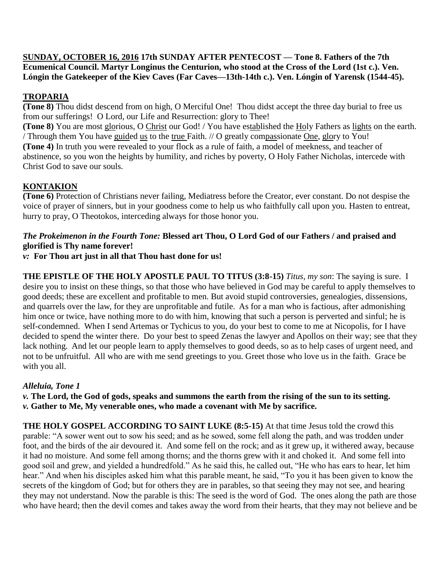**SUNDAY, OCTOBER 16, 2016 17th SUNDAY AFTER PENTECOST — Tone 8. Fathers of the 7th Ecumenical Council. Martyr Longinus the Centurion, who stood at the Cross of the Lord (1st c.). Ven. Lóngin the Gatekeeper of the Kiev Caves (Far Caves—13th-14th c.). Ven. Lóngin of Yarensk (1544-45).**

# **TROPARIA**

**(Tone 8)** Thou didst descend from on high, O Merciful One! Thou didst accept the three day burial to free us from our sufferings! O Lord, our Life and Resurrection: glory to Thee!

**(Tone 8)** You are most glorious, O Christ our God! / You have established the Holy Fathers as lights on the earth. / Through them You have guided us to the true Faith. // O greatly compassionate One, glory to You! **(Tone 4)** In truth you were revealed to your flock as a rule of faith, a model of meekness, and teacher of abstinence, so you won the heights by humility, and riches by poverty, O Holy Father Nicholas, intercede with Christ God to save our souls.

# **KONTAKION**

**(Tone 6)** Protection of Christians never failing, Mediatress before the Creator, ever constant. Do not despise the voice of prayer of sinners, but in your goodness come to help us who faithfully call upon you. Hasten to entreat, hurry to pray, O Theotokos, interceding always for those honor you.

### *The Prokeimenon in the Fourth Tone:* **Blessed art Thou, O Lord God of our Fathers / and praised and glorified is Thy name forever!**

*v:* **For Thou art just in all that Thou hast done for us!**

**THE EPISTLE OF THE HOLY APOSTLE PAUL TO TITUS (3:8-15)** *Titus, my son*: The saying is sure. I desire you to insist on these things, so that those who have believed in God may be careful to apply themselves to good deeds; these are excellent and profitable to men. But avoid stupid controversies, genealogies, dissensions, and quarrels over the law, for they are unprofitable and futile. As for a man who is factious, after admonishing him once or twice, have nothing more to do with him, knowing that such a person is perverted and sinful; he is self-condemned. When I send Artemas or Tychicus to you, do your best to come to me at Nicopolis, for I have decided to spend the winter there. Do your best to speed Zenas the lawyer and Apollos on their way; see that they lack nothing. And let our people learn to apply themselves to good deeds, so as to help cases of urgent need, and not to be unfruitful. All who are with me send greetings to you. Greet those who love us in the faith. Grace be with you all.

## *Alleluia, Tone 1*

*v.* **The Lord, the God of gods, speaks and summons the earth from the rising of the sun to its setting.** *v.* **Gather to Me, My venerable ones, who made a covenant with Me by sacrifice.**

**THE HOLY GOSPEL ACCORDING TO SAINT LUKE (8:5-15)** At that time Jesus told the crowd this parable: "A sower went out to sow his seed; and as he sowed, some fell along the path, and was trodden under foot, and the birds of the air devoured it. And some fell on the rock; and as it grew up, it withered away, because it had no moisture. And some fell among thorns; and the thorns grew with it and choked it. And some fell into good soil and grew, and yielded a hundredfold." As he said this, he called out, "He who has ears to hear, let him hear." And when his disciples asked him what this parable meant, he said, "To you it has been given to know the secrets of the kingdom of God; but for others they are in parables, so that seeing they may not see, and hearing they may not understand. Now the parable is this: The seed is the word of God. The ones along the path are those who have heard; then the devil comes and takes away the word from their hearts, that they may not believe and be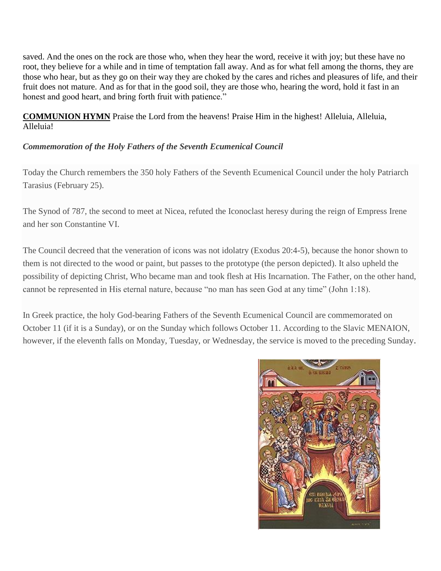saved. And the ones on the rock are those who, when they hear the word, receive it with joy; but these have no root, they believe for a while and in time of temptation fall away. And as for what fell among the thorns, they are those who hear, but as they go on their way they are choked by the cares and riches and pleasures of life, and their fruit does not mature. And as for that in the good soil, they are those who, hearing the word, hold it fast in an honest and good heart, and bring forth fruit with patience."

**COMMUNION HYMN** Praise the Lord from the heavens! Praise Him in the highest! Alleluia, Alleluia, Alleluia!

# *Commemoration of the Holy Fathers of the Seventh Ecumenical Council*

Today the Church remembers the 350 holy Fathers of the Seventh Ecumenical Council under the holy Patriarch Tarasius (February 25).

The Synod of 787, the second to meet at Nicea, refuted the Iconoclast heresy during the reign of Empress Irene and her son Constantine VI.

The Council decreed that the veneration of icons was not idolatry (Exodus 20:4-5), because the honor shown to them is not directed to the wood or paint, but passes to the prototype (the person depicted). It also upheld the possibility of depicting Christ, Who became man and took flesh at His Incarnation. The Father, on the other hand, cannot be represented in His eternal nature, because "no man has seen God at any time" (John 1:18).

In Greek practice, the holy God-bearing Fathers of the Seventh Ecumenical Council are commemorated on October 11 (if it is a Sunday), or on the Sunday which follows October 11. According to the Slavic MENAION, however, if the eleventh falls on Monday, Tuesday, or Wednesday, the service is moved to the preceding Sunday.

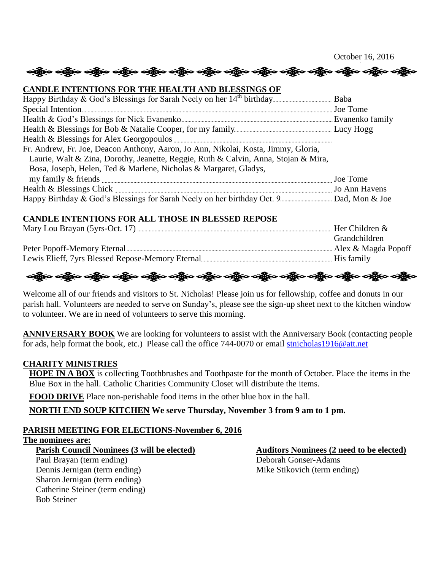October 16, 2016 လူ့ေတြောင္း တိုင္း တိုင္း တိုင္း တိုင္း တိုင္း တိုင္း တိုင္း တိုင္း တိုင္း တိုင္း တိုင္း တိုင္း တိုင္း တိုင္း

#### **CANDLE INTENTIONS FOR THE HEALTH AND BLESSINGS OF**

| Fr. Andrew, Fr. Joe, Deacon Anthony, Aaron, Jo Ann, Nikolai, Kosta, Jimmy, Gloria,  |          |
|-------------------------------------------------------------------------------------|----------|
| Laurie, Walt & Zina, Dorothy, Jeanette, Reggie, Ruth & Calvin, Anna, Stojan & Mira, |          |
| Bosa, Joseph, Helen, Ted & Marlene, Nicholas & Margaret, Gladys,                    |          |
|                                                                                     | Joe Tome |
|                                                                                     |          |
|                                                                                     |          |

#### **CANDLE INTENTIONS FOR ALL THOSE IN BLESSED REPOSE**

| Her Children &       |
|----------------------|
| <b>Grandchildren</b> |
| Alex & Magda Popoff  |
|                      |

# လန္တြိုးေလ့ရွိပဲေလ့ရွိပဲေလ့ရွိပဲေလ့ရွိပဲေလ့ရွိပဲေလ့ရွိပဲေလ့ရွိပဲေလ့ရွိပဲေလ့ရွိပဲေလ့ရွိပဲေလ့ရွိပဲေ

Welcome all of our friends and visitors to St. Nicholas! Please join us for fellowship, coffee and donuts in our parish hall. Volunteers are needed to serve on Sunday's, please see the sign-up sheet next to the kitchen window to volunteer. We are in need of volunteers to serve this morning.

**ANNIVERSARY BOOK** We are looking for volunteers to assist with the Anniversary Book (contacting people for ads, help format the book, etc.) Please call the office 744-0070 or email [stnicholas1916@att.net](mailto:stnicholas1916@att.net)

#### **CHARITY MINISTRIES**

**HOPE IN A BOX** is collecting Toothbrushes and Toothpaste for the month of October. Place the items in the Blue Box in the hall. Catholic Charities Community Closet will distribute the items.

**FOOD DRIVE** Place non-perishable food items in the other blue box in the hall.

**NORTH END SOUP KITCHEN We serve Thursday, November 3 from 9 am to 1 pm.**

## **PARISH MEETING FOR ELECTIONS-November 6, 2016**

**The nominees are:**

Paul Brayan (term ending) Deborah Gonser-Adams Dennis Jernigan (term ending) Mike Stikovich (term ending) Sharon Jernigan (term ending) Catherine Steiner (term ending) Bob Steiner

**Parish Council Nominees (3 will be elected) Auditors Nominees (2 need to be elected)**